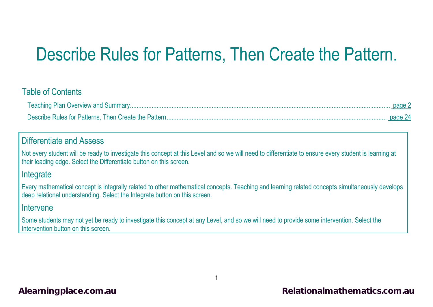# Describe Rules for Patterns, Then Create the Pattern.

#### Table of Contents

#### Differentiate and Assess

Not every student will be ready to investigate this concept at this Level and so we will need to differentiate to ensure every student is learning at their leading edge. Select the Differentiate button on this screen.

#### **Integrate**

Every mathematical concept is integrally related to other mathematical concepts. Teaching and learning related concepts simultaneously develops deep relational understanding. Select the Integrate button on this screen.

#### Intervene

Some students may not yet be ready to investigate this concept at any Level, and so we will need to provide some intervention. Select the Intervention button on this screen.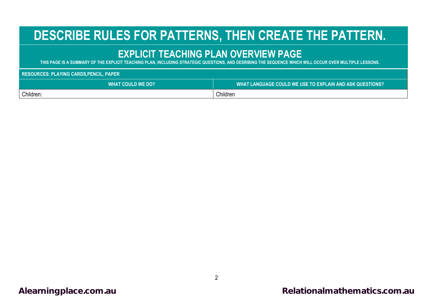# <span id="page-1-0"></span>**DESCRIBE RULES FOR PATTERNS, THEN CREATE THE PATTERN.**

### **EXPLICIT TEACHING PLAN OVERVIEW PAGE**

**THIS PAGE IS A SUMMARY OF THE EXPLICIT TEACHING PLAN, INCLUDING STRATEGIC QUESTIONS, AND DESRIBING THE SEQUENCE WHICH WILL OCCUR OVER MULTIPLE LESSONS.**

**RESOURCES: PLAYING CARDS,PENCIL, PAPER**

| <b>WHAT COULD WE DO?</b> | WHAT LANGUAGE COULD WE USE TO EXPLAIN AND ASK QUESTIONS? |
|--------------------------|----------------------------------------------------------|
| Children:                | Children                                                 |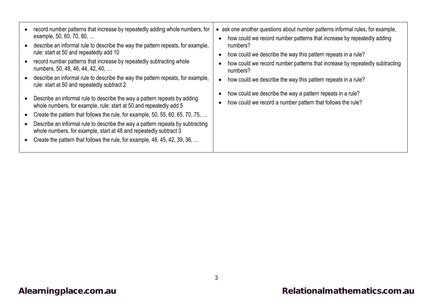| record number patterns that increase by repeatedly adding whole numbers, for<br>example, 50, 60, 70, 80,<br>describe an informal rule to describe the way the pattern repeats, for example,<br>rule: start at 50 and repeatedly add 10<br>record number patterns that increase by repeatedly subtracting whole<br>numbers, 50, 48, 46, 44, 42, 40,<br>describe an informal rule to describe the way the pattern repeats, for example,<br>rule: start at 50 and repeatedly subtract 2<br>Describe an informal rule to describe the way a pattern repeats by adding<br>whole numbers, for example, rule: start at 50 and repeatedly add 5<br>Create the pattern that follows the rule, for example, 50, 55, 60, 65, 70, 75,<br>Describe an informal rule to describe the way a pattern repeats by subtracting<br>whole numbers, for example, start at 48 and repeatedly subtract 3<br>Create the pattern that follows the rule, for example, 48, 45, 42, 39, 36, | ask one another questions about number patterns informal rules, for example,<br>how could we record number patterns that increase by repeatedly adding<br>numbers?<br>how could we describe the way this pattern repeats in a rule?<br>how could we record number patterns that increase by repeatedly subtracting<br>numbers?<br>how could we describe the way this pattern repeats in a rule?<br>how could we describe the way a pattern repeats in a rule?<br>how could we record a number pattern that follows the rule? |
|----------------------------------------------------------------------------------------------------------------------------------------------------------------------------------------------------------------------------------------------------------------------------------------------------------------------------------------------------------------------------------------------------------------------------------------------------------------------------------------------------------------------------------------------------------------------------------------------------------------------------------------------------------------------------------------------------------------------------------------------------------------------------------------------------------------------------------------------------------------------------------------------------------------------------------------------------------------|------------------------------------------------------------------------------------------------------------------------------------------------------------------------------------------------------------------------------------------------------------------------------------------------------------------------------------------------------------------------------------------------------------------------------------------------------------------------------------------------------------------------------|
|----------------------------------------------------------------------------------------------------------------------------------------------------------------------------------------------------------------------------------------------------------------------------------------------------------------------------------------------------------------------------------------------------------------------------------------------------------------------------------------------------------------------------------------------------------------------------------------------------------------------------------------------------------------------------------------------------------------------------------------------------------------------------------------------------------------------------------------------------------------------------------------------------------------------------------------------------------------|------------------------------------------------------------------------------------------------------------------------------------------------------------------------------------------------------------------------------------------------------------------------------------------------------------------------------------------------------------------------------------------------------------------------------------------------------------------------------------------------------------------------------|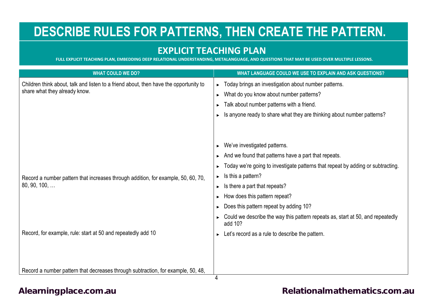## **DESCRIBE RULES FOR PATTERNS, THEN CREATE THE PATTERN.**

#### **EXPLICIT TEACHING PLAN**

**FULL EXPLICIT TEACHING PLAN, EMBEDDING DEEP RELATIONAL UNDERSTANDING, METALANGUAGE, AND QUESTIONS THAT MAY BE USED OVER MULTIPLE LESSONS.**

| <b>WHAT COULD WE DO?</b>                                                                                               | WHAT LANGUAGE COULD WE USE TO EXPLAIN AND ASK QUESTIONS?                                  |
|------------------------------------------------------------------------------------------------------------------------|-------------------------------------------------------------------------------------------|
| Children think about, talk and listen to a friend about, then have the opportunity to<br>share what they already know. | Today brings an investigation about number patterns.<br>▶                                 |
|                                                                                                                        | What do you know about number patterns?<br>▶                                              |
|                                                                                                                        | Talk about number patterns with a friend.                                                 |
|                                                                                                                        | Is anyone ready to share what they are thinking about number patterns?                    |
|                                                                                                                        |                                                                                           |
|                                                                                                                        |                                                                                           |
|                                                                                                                        | We've investigated patterns.                                                              |
|                                                                                                                        | And we found that patterns have a part that repeats.                                      |
|                                                                                                                        | Today we're going to investigate patterns that repeat by adding or subtracting.           |
| Record a number pattern that increases through addition, for example, 50, 60, 70,<br>$80, 90, 100, \ldots$             | Is this a pattern?<br>▶                                                                   |
|                                                                                                                        | Is there a part that repeats?<br>▶                                                        |
|                                                                                                                        | How does this pattern repeat?                                                             |
|                                                                                                                        | Does this pattern repeat by adding 10?                                                    |
|                                                                                                                        | Could we describe the way this pattern repeats as, start at 50, and repeatedly<br>add 10? |
| Record, for example, rule: start at 50 and repeatedly add 10                                                           | Let's record as a rule to describe the pattern.                                           |
|                                                                                                                        |                                                                                           |
|                                                                                                                        |                                                                                           |
|                                                                                                                        |                                                                                           |
| Record a number pattern that decreases through subtraction, for example, 50, 48,                                       | 4                                                                                         |

[Alearningplace.com.au](https://alearningplace.com.au/) *Alearningplace.com.au* **[Relationalmathematics.com.au](http://relationalmathematics.com.au/)**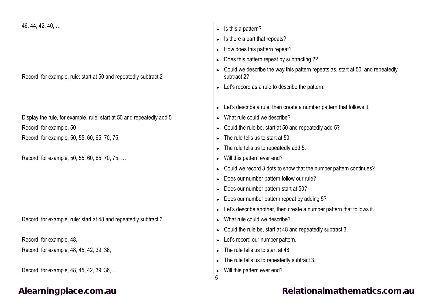| 46, 44, 42, 40,                                                       | Is this a pattern?<br>$\blacktriangleright$                                                    |
|-----------------------------------------------------------------------|------------------------------------------------------------------------------------------------|
|                                                                       | Is there a part that repeats?<br>▶                                                             |
|                                                                       | How does this pattern repeat?                                                                  |
|                                                                       | Does this pattern repeat by subtracting 2?                                                     |
| Record, for example, rule: start at 50 and repeatedly subtract 2      | Could we describe the way this pattern repeats as, start at 50, and repeatedly<br>subtract 2?  |
|                                                                       | $\triangleright$ Let's record as a rule to describe the pattern.                               |
|                                                                       |                                                                                                |
|                                                                       | Let's describe a rule, then create a number pattern that follows it.                           |
| Display the rule, for example, rule: start at 50 and repeatedly add 5 | What rule could we describe?                                                                   |
| Record, for example, 50                                               | Could the rule be, start at 50 and repeatedly add 5?                                           |
| Record, for example, 50, 55, 60, 65, 70, 75,                          | The rule tells us to start at 50.                                                              |
|                                                                       | The rule tells us to repeatedly add 5.                                                         |
| Record, for example, 50, 55, 60, 65, 70, 75,                          | Will this pattern ever end?                                                                    |
|                                                                       | Could we record 3 dots to show that the number pattern continues?                              |
|                                                                       | Does our number pattern follow our rule?                                                       |
|                                                                       | Does our number pattern start at 50?<br>▶                                                      |
|                                                                       | Does our number pattern repeat by adding 5?                                                    |
|                                                                       | Let's describe another, then create a number pattern that follows it.<br>$\blacktriangleright$ |
| Record, for example, rule: start at 48 and repeatedly subtract 3      | What rule could we describe?<br>▶                                                              |
|                                                                       | Could the rule be, start at 48 and repeatedly subtract 3.                                      |
| Record, for example, 48,                                              | Let's record our number pattern.                                                               |
| Record, for example, 48, 45, 42, 39, 36,                              | The rule tells us to start at 48.                                                              |
|                                                                       | The rule tells us to repeatedly subtract 3.                                                    |
| Record, for example, 48, 45, 42, 39, 36,                              | Will this pattern ever end?                                                                    |
|                                                                       | 5                                                                                              |

### [Alearningplace.com.au](https://alearningplace.com.au/) **Alearningplace.com.au [Relationalmathematics.com.au](http://relationalmathematics.com.au/)**